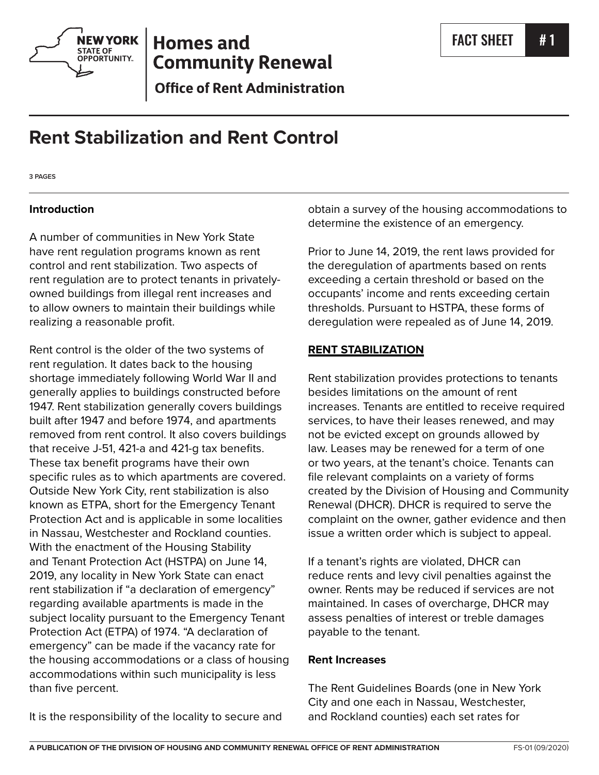

# **Homes and Community Renewal**

**Office of Rent Administration** 

# **Rent Stabilization and Rent Control**

**3 PAGES**

## **Introduction**

A number of communities in New York State have rent regulation programs known as rent control and rent stabilization. Two aspects of rent regulation are to protect tenants in privatelyowned buildings from illegal rent increases and to allow owners to maintain their buildings while realizing a reasonable profit.

Rent control is the older of the two systems of rent regulation. It dates back to the housing shortage immediately following World War II and generally applies to buildings constructed before 1947. Rent stabilization generally covers buildings built after 1947 and before 1974, and apartments removed from rent control. It also covers buildings that receive J-51, 421-a and 421-g tax benefits. These tax benefit programs have their own specific rules as to which apartments are covered. Outside New York City, rent stabilization is also known as ETPA, short for the Emergency Tenant Protection Act and is applicable in some localities in Nassau, Westchester and Rockland counties. With the enactment of the Housing Stability and Tenant Protection Act (HSTPA) on June 14, 2019, any locality in New York State can enact rent stabilization if "a declaration of emergency" regarding available apartments is made in the subject locality pursuant to the Emergency Tenant Protection Act (ETPA) of 1974. "A declaration of emergency" can be made if the vacancy rate for the housing accommodations or a class of housing accommodations within such municipality is less than five percent.

It is the responsibility of the locality to secure and

obtain a survey of the housing accommodations to determine the existence of an emergency.

Prior to June 14, 2019, the rent laws provided for the deregulation of apartments based on rents exceeding a certain threshold or based on the occupants' income and rents exceeding certain thresholds. Pursuant to HSTPA, these forms of deregulation were repealed as of June 14, 2019.

## **RENT STABILIZATION**

Rent stabilization provides protections to tenants besides limitations on the amount of rent increases. Tenants are entitled to receive required services, to have their leases renewed, and may not be evicted except on grounds allowed by law. Leases may be renewed for a term of one or two years, at the tenant's choice. Tenants can file relevant complaints on a variety of forms created by the Division of Housing and Community Renewal (DHCR). DHCR is required to serve the complaint on the owner, gather evidence and then issue a written order which is subject to appeal.

If a tenant's rights are violated, DHCR can reduce rents and levy civil penalties against the owner. Rents may be reduced if services are not maintained. In cases of overcharge, DHCR may assess penalties of interest or treble damages payable to the tenant.

## **Rent Increases**

The Rent Guidelines Boards (one in New York City and one each in Nassau, Westchester, and Rockland counties) each set rates for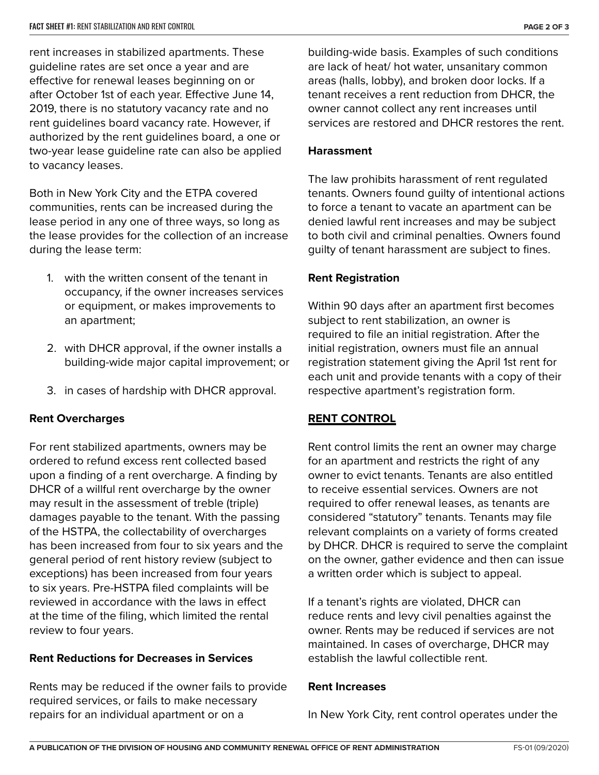rent increases in stabilized apartments. These guideline rates are set once a year and are effective for renewal leases beginning on or after October 1st of each year. Effective June 14, 2019, there is no statutory vacancy rate and no rent guidelines board vacancy rate. However, if authorized by the rent guidelines board, a one or two-year lease guideline rate can also be applied to vacancy leases.

Both in New York City and the ETPA covered communities, rents can be increased during the lease period in any one of three ways, so long as the lease provides for the collection of an increase during the lease term:

- 1. with the written consent of the tenant in occupancy, if the owner increases services or equipment, or makes improvements to an apartment;
- 2. with DHCR approval, if the owner installs a building-wide major capital improvement; or
- 3. in cases of hardship with DHCR approval.

## **Rent Overcharges**

For rent stabilized apartments, owners may be ordered to refund excess rent collected based upon a finding of a rent overcharge. A finding by DHCR of a willful rent overcharge by the owner may result in the assessment of treble (triple) damages payable to the tenant. With the passing of the HSTPA, the collectability of overcharges has been increased from four to six years and the general period of rent history review (subject to exceptions) has been increased from four years to six years. Pre-HSTPA filed complaints will be reviewed in accordance with the laws in effect at the time of the filing, which limited the rental review to four years.

## **Rent Reductions for Decreases in Services**

Rents may be reduced if the owner fails to provide required services, or fails to make necessary repairs for an individual apartment or on a

building-wide basis. Examples of such conditions are lack of heat/ hot water, unsanitary common areas (halls, lobby), and broken door locks. If a tenant receives a rent reduction from DHCR, the owner cannot collect any rent increases until services are restored and DHCR restores the rent.

#### **Harassment**

The law prohibits harassment of rent regulated tenants. Owners found guilty of intentional actions to force a tenant to vacate an apartment can be denied lawful rent increases and may be subject to both civil and criminal penalties. Owners found guilty of tenant harassment are subject to fines.

## **Rent Registration**

Within 90 days after an apartment first becomes subject to rent stabilization, an owner is required to file an initial registration. After the initial registration, owners must file an annual registration statement giving the April 1st rent for each unit and provide tenants with a copy of their respective apartment's registration form.

## **RENT CONTROL**

Rent control limits the rent an owner may charge for an apartment and restricts the right of any owner to evict tenants. Tenants are also entitled to receive essential services. Owners are not required to offer renewal leases, as tenants are considered "statutory" tenants. Tenants may file relevant complaints on a variety of forms created by DHCR. DHCR is required to serve the complaint on the owner, gather evidence and then can issue a written order which is subject to appeal.

If a tenant's rights are violated, DHCR can reduce rents and levy civil penalties against the owner. Rents may be reduced if services are not maintained. In cases of overcharge, DHCR may establish the lawful collectible rent.

#### **Rent Increases**

In New York City, rent control operates under the